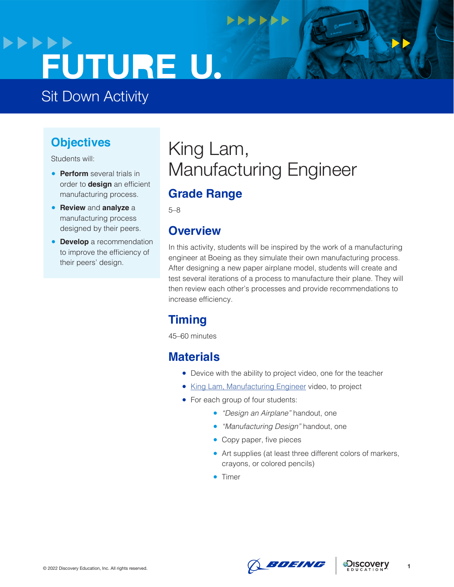## **>>>>>>** FUTURE U.

Sit Down Activity

### **Objectives**

Students will:

- **Perform** several trials in order to **design** an efficient manufacturing process.
- **Review** and **analyze** a manufacturing process designed by their peers.
- **Develop** a recommendation to improve the efficiency of their peers' design.

### King Lam, Manufacturing Engineer

**NNNNNN** 

### **Grade Range**

5–8

### **Overview**

In this activity, students will be inspired by the work of a manufacturing engineer at Boeing as they simulate their own manufacturing process. After designing a new paper airplane model, students will create and test several iterations of a process to manufacture their plane. They will then review each other's processes and provide recommendations to increase efficiency.

### **Timing**

45–60 minutes

### **Materials**

- Device with the ability to project video, one for the teacher
- [King Lam, Manufacturing Engineer](https://www.boeingfutureu.com/virtual-experiences/STEM-career-videos/king-manufacturing) video, to project
- For each group of four students:
	- *"Design an Airplane"* handout, one
	- *"Manufacturing Design"* handout, one
	- Copy paper, five pieces
	- Art supplies (at least three different colors of markers, crayons, or colored pencils)
	- Timer





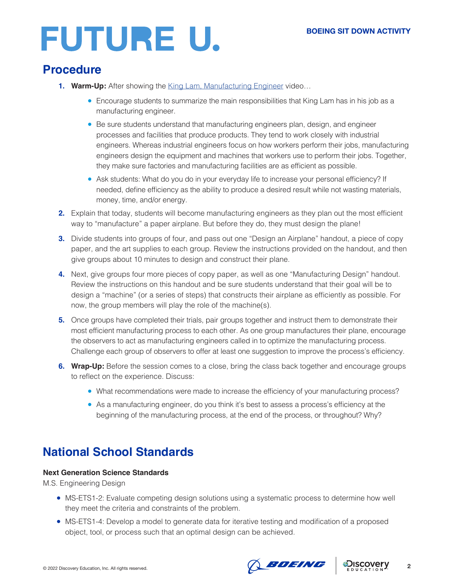# **FUTURE U.**

### **Procedure**

- 1. Warm-Up: After showing the [King Lam, Manufacturing Engineer](https://www.boeingfutureu.com/virtual-experiences/STEM-career-videos/king-manufacturing) video...
	- Encourage students to summarize the main responsibilities that King Lam has in his job as a manufacturing engineer.
	- Be sure students understand that manufacturing engineers plan, design, and engineer processes and facilities that produce products. They tend to work closely with industrial engineers. Whereas industrial engineers focus on how workers perform their jobs, manufacturing engineers design the equipment and machines that workers use to perform their jobs. Together, they make sure factories and manufacturing facilities are as efficient as possible.
	- Ask students: What do you do in your everyday life to increase your personal efficiency? If needed, define efficiency as the ability to produce a desired result while not wasting materials, money, time, and/or energy.
- **2.** Explain that today, students will become manufacturing engineers as they plan out the most efficient way to "manufacture" a paper airplane. But before they do, they must design the plane!
- **3.** Divide students into groups of four, and pass out one "Design an Airplane" handout, a piece of copy paper, and the art supplies to each group. Review the instructions provided on the handout, and then give groups about 10 minutes to design and construct their plane.
- **4.** Next, give groups four more pieces of copy paper, as well as one "Manufacturing Design" handout. Review the instructions on this handout and be sure students understand that their goal will be to design a "machine" (or a series of steps) that constructs their airplane as efficiently as possible. For now, the group members will play the role of the machine(s).
- **5.** Once groups have completed their trials, pair groups together and instruct them to demonstrate their most efficient manufacturing process to each other. As one group manufactures their plane, encourage the observers to act as manufacturing engineers called in to optimize the manufacturing process. Challenge each group of observers to offer at least one suggestion to improve the process's efficiency.
- **6. Wrap-Up:** Before the session comes to a close, bring the class back together and encourage groups to reflect on the experience. Discuss:
	- What recommendations were made to increase the efficiency of your manufacturing process?
	- As a manufacturing engineer, do you think it's best to assess a process's efficiency at the beginning of the manufacturing process, at the end of the process, or throughout? Why?

### **National School Standards**

#### **Next Generation Science Standards**

M.S. Engineering Design

- MS-ETS1-2: Evaluate competing design solutions using a systematic process to determine how well they meet the criteria and constraints of the problem.
- MS-ETS1-4: Develop a model to generate data for iterative testing and modification of a proposed object, tool, or process such that an optimal design can be achieved.

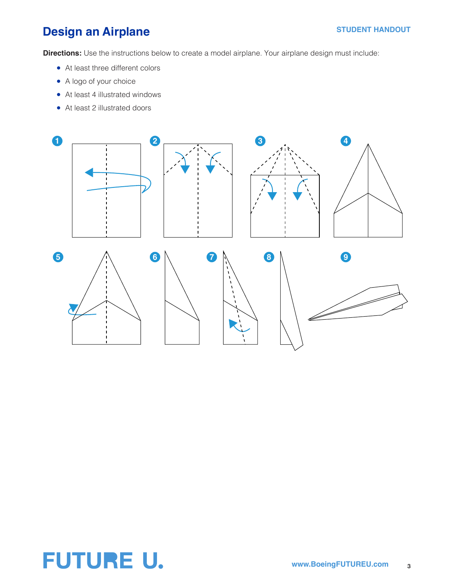### **Design an Airplane**

**Directions:** Use the instructions below to create a model airplane. Your airplane design must include:

- At least three different colors
- A logo of your choice
- At least 4 illustrated windows
- At least 2 illustrated doors